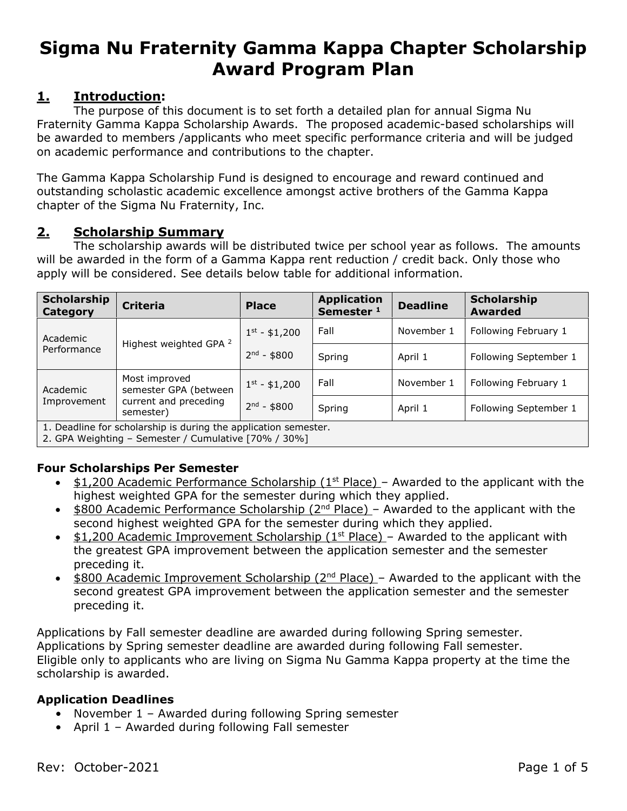# **Sigma Nu Fraternity Gamma Kappa Chapter Scholarship Award Program Plan**

# **1. Introduction:**

The purpose of this document is to set forth a detailed plan for annual Sigma Nu Fraternity Gamma Kappa Scholarship Awards. The proposed academic-based scholarships will be awarded to members /applicants who meet specific performance criteria and will be judged on academic performance and contributions to the chapter.

The Gamma Kappa Scholarship Fund is designed to encourage and reward continued and outstanding scholastic academic excellence amongst active brothers of the Gamma Kappa chapter of the Sigma Nu Fraternity, Inc.

# **2. Scholarship Summary**

The scholarship awards will be distributed twice per school year as follows. The amounts will be awarded in the form of a Gamma Kappa rent reduction / credit back. Only those who apply will be considered. See details below table for additional information.

| Scholarship<br>Category                                         | <b>Criteria</b>                                                              | <b>Place</b>      | <b>Application</b><br>Semester <sup>1</sup> | <b>Deadline</b> | Scholarship<br><b>Awarded</b> |
|-----------------------------------------------------------------|------------------------------------------------------------------------------|-------------------|---------------------------------------------|-----------------|-------------------------------|
| Academic<br>Performance                                         | Highest weighted GPA <sup>2</sup>                                            | $1^{st} - $1,200$ | Fall                                        | November 1      | Following February 1          |
|                                                                 |                                                                              | $2nd - $800$      | Spring                                      | April 1         | Following September 1         |
| Academic<br>Improvement                                         | Most improved<br>semester GPA (between<br>current and preceding<br>semester) | $1^{st} - $1,200$ | Fall                                        | November 1      | Following February 1          |
|                                                                 |                                                                              | $2nd - $800$      | Spring                                      | April 1         | Following September 1         |
| 1. Deadline for scholarship is during the application semester. |                                                                              |                   |                                             |                 |                               |

2. GPA Weighting – Semester / Cumulative [70% / 30%]

# **Four Scholarships Per Semester**

- $\bullet$  \$1,200 Academic Performance Scholarship (1<sup>st</sup> Place) Awarded to the applicant with the highest weighted GPA for the semester during which they applied.
- $\bullet$  \$800 Academic Performance Scholarship (2<sup>nd</sup> Place) Awarded to the applicant with the second highest weighted GPA for the semester during which they applied.
- $\bullet$  \$1,200 Academic Improvement Scholarship (1<sup>st</sup> Place) Awarded to the applicant with the greatest GPA improvement between the application semester and the semester preceding it.
- $\bullet$  \$800 Academic Improvement Scholarship (2<sup>nd</sup> Place) Awarded to the applicant with the second greatest GPA improvement between the application semester and the semester preceding it.

Applications by Fall semester deadline are awarded during following Spring semester. Applications by Spring semester deadline are awarded during following Fall semester. Eligible only to applicants who are living on Sigma Nu Gamma Kappa property at the time the scholarship is awarded.

#### **Application Deadlines**

- November 1 Awarded during following Spring semester
- April 1 Awarded during following Fall semester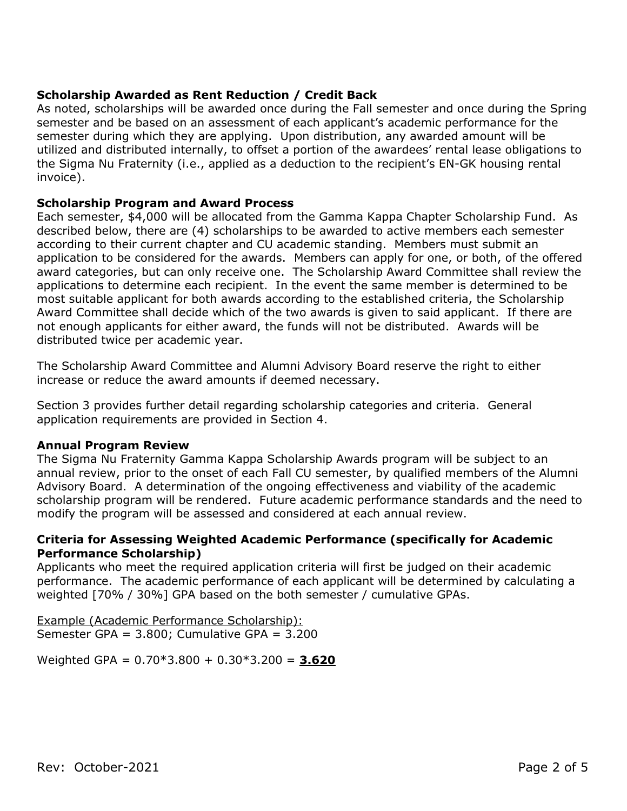#### **Scholarship Awarded as Rent Reduction / Credit Back**

As noted, scholarships will be awarded once during the Fall semester and once during the Spring semester and be based on an assessment of each applicant's academic performance for the semester during which they are applying. Upon distribution, any awarded amount will be utilized and distributed internally, to offset a portion of the awardees' rental lease obligations to the Sigma Nu Fraternity (i.e., applied as a deduction to the recipient's EN-GK housing rental invoice).

#### **Scholarship Program and Award Process**

Each semester, \$4,000 will be allocated from the Gamma Kappa Chapter Scholarship Fund. As described below, there are (4) scholarships to be awarded to active members each semester according to their current chapter and CU academic standing. Members must submit an application to be considered for the awards. Members can apply for one, or both, of the offered award categories, but can only receive one. The Scholarship Award Committee shall review the applications to determine each recipient. In the event the same member is determined to be most suitable applicant for both awards according to the established criteria, the Scholarship Award Committee shall decide which of the two awards is given to said applicant. If there are not enough applicants for either award, the funds will not be distributed. Awards will be distributed twice per academic year.

The Scholarship Award Committee and Alumni Advisory Board reserve the right to either increase or reduce the award amounts if deemed necessary.

Section 3 provides further detail regarding scholarship categories and criteria. General application requirements are provided in Section 4.

#### **Annual Program Review**

The Sigma Nu Fraternity Gamma Kappa Scholarship Awards program will be subject to an annual review, prior to the onset of each Fall CU semester, by qualified members of the Alumni Advisory Board. A determination of the ongoing effectiveness and viability of the academic scholarship program will be rendered. Future academic performance standards and the need to modify the program will be assessed and considered at each annual review.

#### **Criteria for Assessing Weighted Academic Performance (specifically for Academic Performance Scholarship)**

Applicants who meet the required application criteria will first be judged on their academic performance. The academic performance of each applicant will be determined by calculating a weighted [70% / 30%] GPA based on the both semester / cumulative GPAs.

Example (Academic Performance Scholarship): Semester GPA = 3.800; Cumulative GPA = 3.200

Weighted GPA = 0.70\*3.800 + 0.30\*3.200 = **3.620**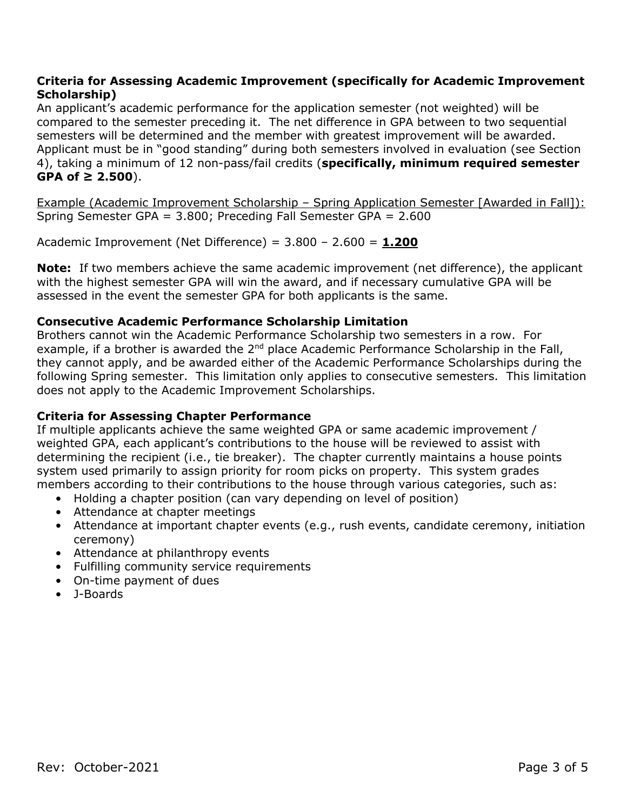#### **Criteria for Assessing Academic Improvement (specifically for Academic Improvement Scholarship)**

An applicant's academic performance for the application semester (not weighted) will be compared to the semester preceding it. The net difference in GPA between to two sequential semesters will be determined and the member with greatest improvement will be awarded. Applicant must be in "good standing" during both semesters involved in evaluation (see Section 4), taking a minimum of 12 non-pass/fail credits (**specifically, minimum required semester GPA of ≥ 2.500**).

Example (Academic Improvement Scholarship – Spring Application Semester [Awarded in Fall]): Spring Semester GPA = 3.800; Preceding Fall Semester GPA = 2.600

Academic Improvement (Net Difference) = 3.800 – 2.600 = **1.200**

**Note:** If two members achieve the same academic improvement (net difference), the applicant with the highest semester GPA will win the award, and if necessary cumulative GPA will be assessed in the event the semester GPA for both applicants is the same.

#### **Consecutive Academic Performance Scholarship Limitation**

Brothers cannot win the Academic Performance Scholarship two semesters in a row. For example, if a brother is awarded the  $2<sup>nd</sup>$  place Academic Performance Scholarship in the Fall, they cannot apply, and be awarded either of the Academic Performance Scholarships during the following Spring semester. This limitation only applies to consecutive semesters. This limitation does not apply to the Academic Improvement Scholarships.

#### **Criteria for Assessing Chapter Performance**

If multiple applicants achieve the same weighted GPA or same academic improvement / weighted GPA, each applicant's contributions to the house will be reviewed to assist with determining the recipient (i.e., tie breaker). The chapter currently maintains a house points system used primarily to assign priority for room picks on property. This system grades members according to their contributions to the house through various categories, such as:

- Holding a chapter position (can vary depending on level of position)
- Attendance at chapter meetings
- Attendance at important chapter events (e.g., rush events, candidate ceremony, initiation ceremony)
- Attendance at philanthropy events
- Fulfilling community service requirements
- On-time payment of dues
- J-Boards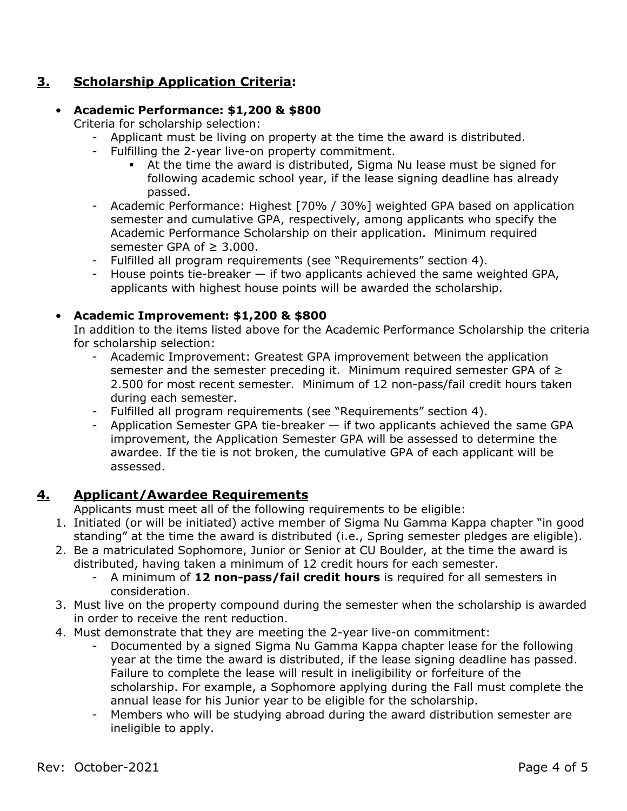# **3. Scholarship Application Criteria:**

# • **Academic Performance: \$1,200 & \$800**

Criteria for scholarship selection:

- Applicant must be living on property at the time the award is distributed.
- Fulfilling the 2-year live-on property commitment.
	- At the time the award is distributed, Sigma Nu lease must be signed for following academic school year, if the lease signing deadline has already passed.
- Academic Performance: Highest [70% / 30%] weighted GPA based on application semester and cumulative GPA, respectively, among applicants who specify the Academic Performance Scholarship on their application. Minimum required semester GPA of  $\geq$  3.000.
- Fulfilled all program requirements (see "Requirements" section 4).
- House points tie-breaker if two applicants achieved the same weighted GPA, applicants with highest house points will be awarded the scholarship.

# • **Academic Improvement: \$1,200 & \$800**

In addition to the items listed above for the Academic Performance Scholarship the criteria for scholarship selection:

- Academic Improvement: Greatest GPA improvement between the application semester and the semester preceding it. Minimum required semester GPA of ≥ 2.500 for most recent semester. Minimum of 12 non-pass/fail credit hours taken during each semester.
- Fulfilled all program requirements (see "Requirements" section 4).
- Application Semester GPA tie-breaker if two applicants achieved the same GPA improvement, the Application Semester GPA will be assessed to determine the awardee. If the tie is not broken, the cumulative GPA of each applicant will be assessed.

# **4. Applicant/Awardee Requirements**

Applicants must meet all of the following requirements to be eligible:

- 1. Initiated (or will be initiated) active member of Sigma Nu Gamma Kappa chapter "in good standing" at the time the award is distributed (i.e., Spring semester pledges are eligible).
- 2. Be a matriculated Sophomore, Junior or Senior at CU Boulder, at the time the award is distributed, having taken a minimum of 12 credit hours for each semester.
	- A minimum of **12 non-pass/fail credit hours** is required for all semesters in consideration.
- 3. Must live on the property compound during the semester when the scholarship is awarded in order to receive the rent reduction.
- 4. Must demonstrate that they are meeting the 2-year live-on commitment:
	- Documented by a signed Sigma Nu Gamma Kappa chapter lease for the following year at the time the award is distributed, if the lease signing deadline has passed. Failure to complete the lease will result in ineligibility or forfeiture of the scholarship. For example, a Sophomore applying during the Fall must complete the annual lease for his Junior year to be eligible for the scholarship.
	- Members who will be studying abroad during the award distribution semester are ineligible to apply.